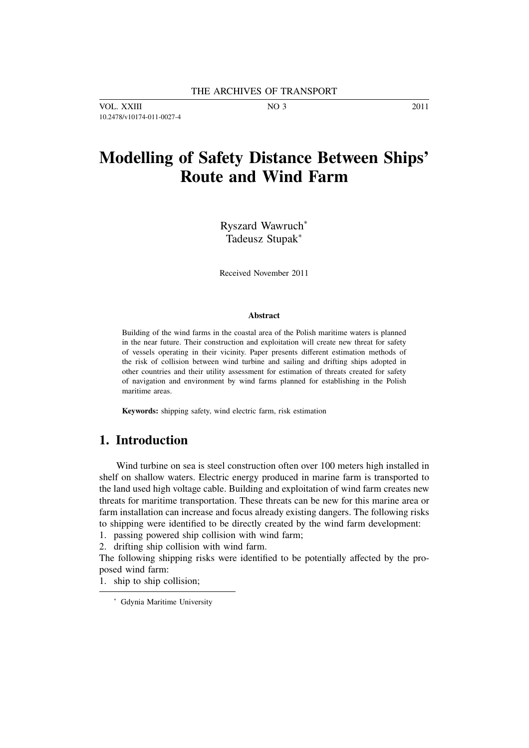VOL. XXIII NO 3 2011 10.2478/v10174-011-0027-4

# **Modelling of Safety Distance Between Ships' Route and Wind Farm**

Ryszard Wawruch<sup>∗</sup> Tadeusz Stupak<sup>∗</sup>

Received November 2011

#### **Abstract**

Building of the wind farms in the coastal area of the Polish maritime waters is planned in the near future. Their construction and exploitation will create new threat for safety of vessels operating in their vicinity. Paper presents different estimation methods of the risk of collision between wind turbine and sailing and drifting ships adopted in other countries and their utility assessment for estimation of threats created for safety of navigation and environment by wind farms planned for establishing in the Polish maritime areas.

**Keywords:** shipping safety, wind electric farm, risk estimation

## **1. Introduction**

Wind turbine on sea is steel construction often over 100 meters high installed in shelf on shallow waters. Electric energy produced in marine farm is transported to the land used high voltage cable. Building and exploitation of wind farm creates new threats for maritime transportation. These threats can be new for this marine area or farm installation can increase and focus already existing dangers. The following risks to shipping were identified to be directly created by the wind farm development:

1. passing powered ship collision with wind farm;

2. drifting ship collision with wind farm.

The following shipping risks were identified to be potentially affected by the proposed wind farm:

1. ship to ship collision;

<sup>∗</sup> Gdynia Maritime University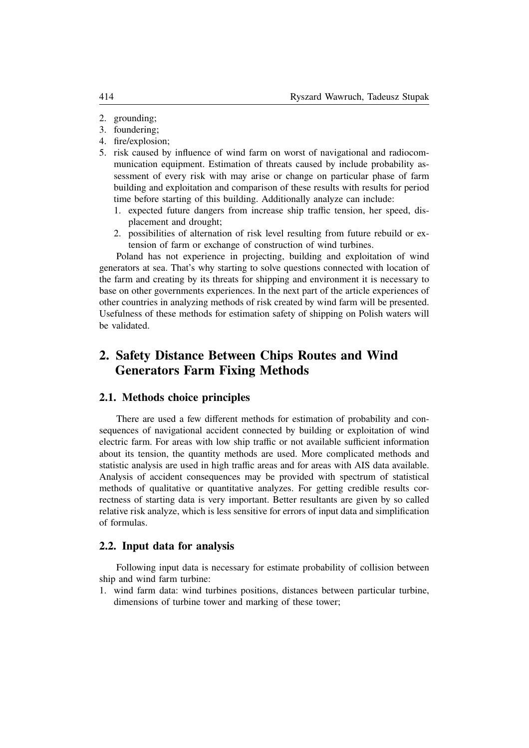- 2. grounding;
- 3. foundering;
- 4. fire/explosion;
- 5. risk caused by influence of wind farm on worst of navigational and radiocommunication equipment. Estimation of threats caused by include probability assessment of every risk with may arise or change on particular phase of farm building and exploitation and comparison of these results with results for period time before starting of this building. Additionally analyze can include:
	- 1. expected future dangers from increase ship traffic tension, her speed, displacement and drought;
	- 2. possibilities of alternation of risk level resulting from future rebuild or extension of farm or exchange of construction of wind turbines.

Poland has not experience in projecting, building and exploitation of wind generators at sea. That's why starting to solve questions connected with location of the farm and creating by its threats for shipping and environment it is necessary to base on other governments experiences. In the next part of the article experiences of other countries in analyzing methods of risk created by wind farm will be presented. Usefulness of these methods for estimation safety of shipping on Polish waters will be validated.

## **2. Safety Distance Between Chips Routes and Wind Generators Farm Fixing Methods**

### **2.1. Methods choice principles**

There are used a few different methods for estimation of probability and consequences of navigational accident connected by building or exploitation of wind electric farm. For areas with low ship traffic or not available sufficient information about its tension, the quantity methods are used. More complicated methods and statistic analysis are used in high traffic areas and for areas with AIS data available. Analysis of accident consequences may be provided with spectrum of statistical methods of qualitative or quantitative analyzes. For getting credible results correctness of starting data is very important. Better resultants are given by so called relative risk analyze, which is less sensitive for errors of input data and simplification of formulas.

#### **2.2. Input data for analysis**

Following input data is necessary for estimate probability of collision between ship and wind farm turbine:

1. wind farm data: wind turbines positions, distances between particular turbine, dimensions of turbine tower and marking of these tower;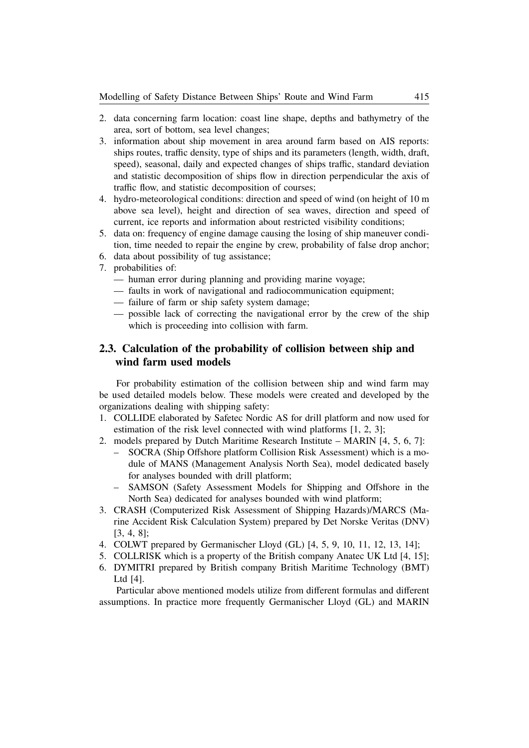- 2. data concerning farm location: coast line shape, depths and bathymetry of the area, sort of bottom, sea level changes;
- 3. information about ship movement in area around farm based on AIS reports: ships routes, traffic density, type of ships and its parameters (length, width, draft, speed), seasonal, daily and expected changes of ships traffic, standard deviation and statistic decomposition of ships flow in direction perpendicular the axis of traffic flow, and statistic decomposition of courses;
- 4. hydro-meteorological conditions: direction and speed of wind (on height of 10 m above sea level), height and direction of sea waves, direction and speed of current, ice reports and information about restricted visibility conditions;
- 5. data on: frequency of engine damage causing the losing of ship maneuver condition, time needed to repair the engine by crew, probability of false drop anchor;
- 6. data about possibility of tug assistance;
- 7. probabilities of:
	- human error during planning and providing marine voyage;
	- faults in work of navigational and radiocommunication equipment;
	- failure of farm or ship safety system damage;
	- possible lack of correcting the navigational error by the crew of the ship which is proceeding into collision with farm.

## **2.3. Calculation of the probability of collision between ship and wind farm used models**

For probability estimation of the collision between ship and wind farm may be used detailed models below. These models were created and developed by the organizations dealing with shipping safety:

- 1. COLLIDE elaborated by Safetec Nordic AS for drill platform and now used for estimation of the risk level connected with wind platforms [1, 2, 3];
- 2. models prepared by Dutch Maritime Research Institute MARIN [4, 5, 6, 7]:
	- SOCRA (Ship Offshore platform Collision Risk Assessment) which is a module of MANS (Management Analysis North Sea), model dedicated basely for analyses bounded with drill platform;
	- SAMSON (Safety Assessment Models for Shipping and Offshore in the North Sea) dedicated for analyses bounded with wind platform;
- 3. CRASH (Computerized Risk Assessment of Shipping Hazards)/MARCS (Marine Accident Risk Calculation System) prepared by Det Norske Veritas (DNV) [3, 4, 8];
- 4. COLWT prepared by Germanischer Lloyd (GL) [4, 5, 9, 10, 11, 12, 13, 14];
- 5. COLLRISK which is a property of the British company Anatec UK Ltd [4, 15];
- 6. DYMITRI prepared by British company British Maritime Technology (BMT) Ltd [4].

Particular above mentioned models utilize from different formulas and different assumptions. In practice more frequently Germanischer Lloyd (GL) and MARIN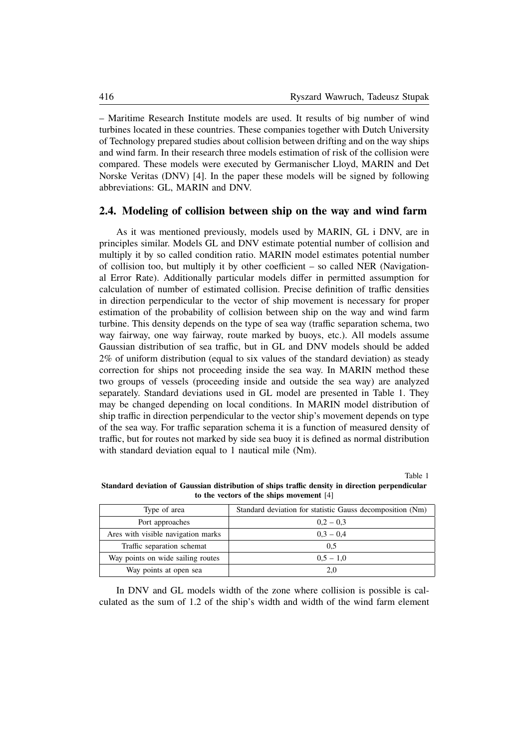– Maritime Research Institute models are used. It results of big number of wind turbines located in these countries. These companies together with Dutch University of Technology prepared studies about collision between drifting and on the way ships and wind farm. In their research three models estimation of risk of the collision were compared. These models were executed by Germanischer Lloyd, MARIN and Det Norske Veritas (DNV) [4]. In the paper these models will be signed by following abbreviations: GL, MARIN and DNV.

#### **2.4. Modeling of collision between ship on the way and wind farm**

As it was mentioned previously, models used by MARIN, GL i DNV, are in principles similar. Models GL and DNV estimate potential number of collision and multiply it by so called condition ratio. MARIN model estimates potential number of collision too, but multiply it by other coefficient – so called NER (Navigational Error Rate). Additionally particular models differ in permitted assumption for calculation of number of estimated collision. Precise definition of traffic densities in direction perpendicular to the vector of ship movement is necessary for proper estimation of the probability of collision between ship on the way and wind farm turbine. This density depends on the type of sea way (traffic separation schema, two way fairway, one way fairway, route marked by buoys, etc.). All models assume Gaussian distribution of sea traffic, but in GL and DNV models should be added 2% of uniform distribution (equal to six values of the standard deviation) as steady correction for ships not proceeding inside the sea way. In MARIN method these two groups of vessels (proceeding inside and outside the sea way) are analyzed separately. Standard deviations used in GL model are presented in Table 1. They may be changed depending on local conditions. In MARIN model distribution of ship traffic in direction perpendicular to the vector ship's movement depends on type of the sea way. For traffic separation schema it is a function of measured density of traffic, but for routes not marked by side sea buoy it is defined as normal distribution with standard deviation equal to 1 nautical mile (Nm).

Table 1

**Standard deviation of Gaussian distribution of ships traffic density in direction perpendicular to the vectors of the ships movement** [4]

| Type of area                       | Standard deviation for statistic Gauss decomposition (Nm) |  |  |
|------------------------------------|-----------------------------------------------------------|--|--|
| Port approaches                    | $0.2 - 0.3$                                               |  |  |
| Ares with visible navigation marks | $0.3 - 0.4$                                               |  |  |
| Traffic separation schemat         | 0.5                                                       |  |  |
| Way points on wide sailing routes  | $0.5 - 1.0$                                               |  |  |
| Way points at open sea             | 2.0                                                       |  |  |

In DNV and GL models width of the zone where collision is possible is calculated as the sum of 1.2 of the ship's width and width of the wind farm element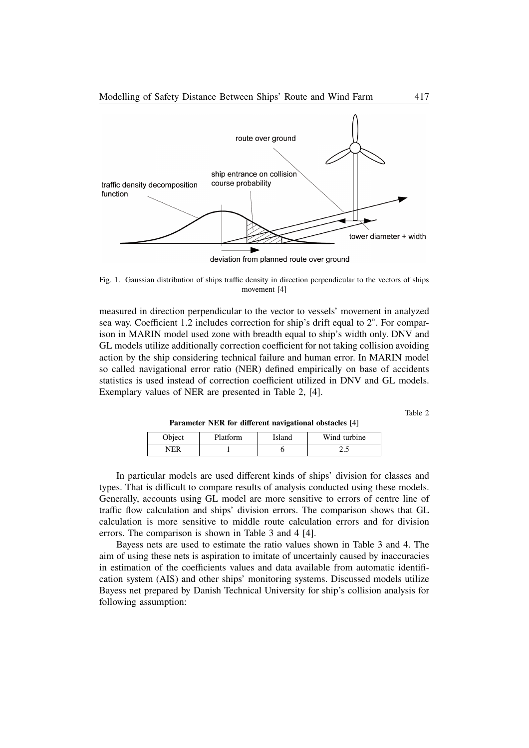

deviation from planned route over ground

Fig. 1. Gaussian distribution of ships traffic density in direction perpendicular to the vectors of ships movement [4]

measured in direction perpendicular to the vector to vessels' movement in analyzed sea way. Coefficient 1.2 includes correction for ship's drift equal to 2°. For comparison in MARIN model used zone with breadth equal to ship's width only. DNV and GL models utilize additionally correction coefficient for not taking collision avoiding action by the ship considering technical failure and human error. In MARIN model so called navigational error ratio (NER) defined empirically on base of accidents statistics is used instead of correction coefficient utilized in DNV and GL models. Exemplary values of NER are presented in Table 2, [4].

Table 2

**Parameter NER for different navigational obstacles** [4]

| Object | Platform | Island | Wind turbine |
|--------|----------|--------|--------------|
| NFR    |          |        | ن ک          |

In particular models are used different kinds of ships' division for classes and types. That is difficult to compare results of analysis conducted using these models. Generally, accounts using GL model are more sensitive to errors of centre line of traffic flow calculation and ships' division errors. The comparison shows that GL calculation is more sensitive to middle route calculation errors and for division errors. The comparison is shown in Table 3 and 4 [4].

Bayess nets are used to estimate the ratio values shown in Table 3 and 4. The aim of using these nets is aspiration to imitate of uncertainly caused by inaccuracies in estimation of the coefficients values and data available from automatic identification system (AIS) and other ships' monitoring systems. Discussed models utilize Bayess net prepared by Danish Technical University for ship's collision analysis for following assumption: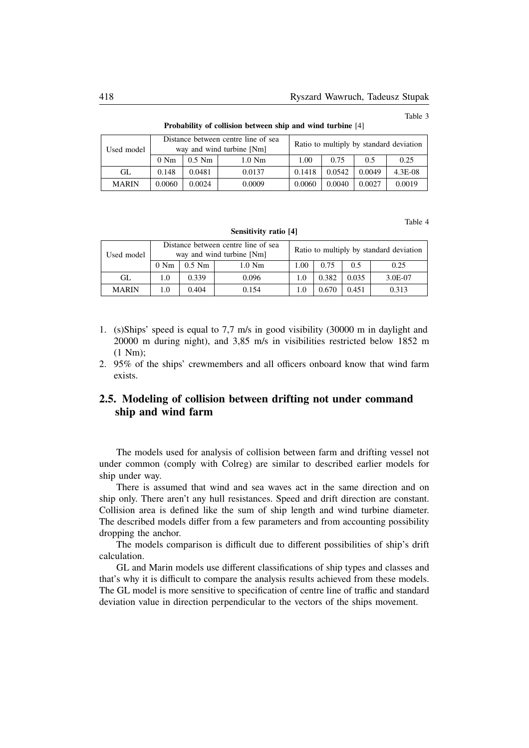Table 3

| Distance between centre line of sea<br>way and wind turbine [Nm]<br>Used model |                |          | Ratio to multiply by standard deviation |        |        |        |           |
|--------------------------------------------------------------------------------|----------------|----------|-----------------------------------------|--------|--------|--------|-----------|
|                                                                                | $0 \text{ Nm}$ | $0.5$ Nm | $1.0$ Nm                                | 1.00   | 0.75   | 0.5    | 0.25      |
| GL                                                                             | 0.148          | 0.0481   | 0.0137                                  | 0.1418 | 0.0542 | 0.0049 | $4.3E-08$ |
| <b>MARIN</b>                                                                   | 0.0060         | 0.0024   | 0.0009                                  | 0.0060 | 0.0040 | 0.0027 | 0.0019    |

**Probability of collision between ship and wind turbine** [4]

Table 4

| D            |                                                                  |          |          |                                         |       |       |         |
|--------------|------------------------------------------------------------------|----------|----------|-----------------------------------------|-------|-------|---------|
| Used model   | Distance between centre line of sea<br>way and wind turbine [Nm] |          |          | Ratio to multiply by standard deviation |       |       |         |
|              | $0 \text{ Nm}$                                                   | $0.5$ Nm | $1.0$ Nm | 00.1                                    | 0.75  | 0.5   | 0.25    |
| GL           | 1.0                                                              | 0.339    | 0.096    | 1.0                                     | 0.382 | 0.035 | 3.0E-07 |
| <b>MARIN</b> |                                                                  | 0.404    | 0.154    | 1.0                                     |       | 0.451 | 0.313   |

**Sensitivity ratio [4]**

- 1. (s)Ships' speed is equal to 7,7 m/s in good visibility (30000 m in daylight and 20000 m during night), and 3,85 m/s in visibilities restricted below 1852 m (1 Nm);
- 2. 95% of the ships' crewmembers and all officers onboard know that wind farm exists.

## **2.5. Modeling of collision between drifting not under command ship and wind farm**

The models used for analysis of collision between farm and drifting vessel not under common (comply with Colreg) are similar to described earlier models for ship under way.

There is assumed that wind and sea waves act in the same direction and on ship only. There aren't any hull resistances. Speed and drift direction are constant. Collision area is defined like the sum of ship length and wind turbine diameter. The described models differ from a few parameters and from accounting possibility dropping the anchor.

The models comparison is difficult due to different possibilities of ship's drift calculation.

GL and Marin models use different classifications of ship types and classes and that's why it is difficult to compare the analysis results achieved from these models. The GL model is more sensitive to specification of centre line of traffic and standard deviation value in direction perpendicular to the vectors of the ships movement.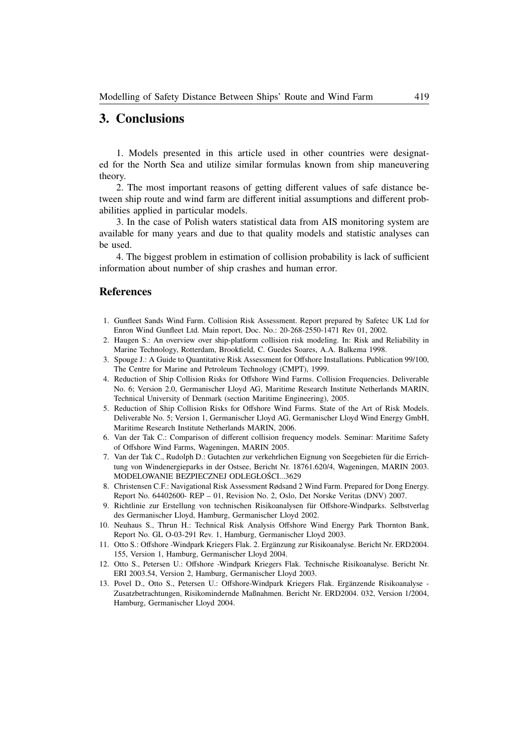## **3. Conclusions**

1. Models presented in this article used in other countries were designated for the North Sea and utilize similar formulas known from ship maneuvering theory.

2. The most important reasons of getting different values of safe distance between ship route and wind farm are different initial assumptions and different probabilities applied in particular models.

3. In the case of Polish waters statistical data from AIS monitoring system are available for many years and due to that quality models and statistic analyses can be used.

4. The biggest problem in estimation of collision probability is lack of sufficient information about number of ship crashes and human error.

#### **References**

- 1. Gunfleet Sands Wind Farm. Collision Risk Assessment. Report prepared by Safetec UK Ltd for Enron Wind Gunfleet Ltd. Main report, Doc. No.: 20-268-2550-1471 Rev 01, 2002.
- 2. Haugen S.: An overview over ship-platform collision risk modeling. In: Risk and Reliability in Marine Technology, Rotterdam, Brookfield, C. Guedes Soares, A.A. Balkema 1998.
- 3. Spouge J.: A Guide to Quantitative Risk Assessment for Offshore Installations. Publication 99/100, The Centre for Marine and Petroleum Technology (CMPT), 1999.
- 4. Reduction of Ship Collision Risks for Offshore Wind Farms. Collision Frequencies. Deliverable No. 6; Version 2.0, Germanischer Lloyd AG, Maritime Research Institute Netherlands MARIN, Technical University of Denmark (section Maritime Engineering), 2005.
- 5. Reduction of Ship Collision Risks for Offshore Wind Farms. State of the Art of Risk Models. Deliverable No. 5; Version 1, Germanischer Lloyd AG, Germanischer Lloyd Wind Energy GmbH, Maritime Research Institute Netherlands MARIN, 2006.
- 6. Van der Tak C.: Comparison of different collision frequency models. Seminar: Maritime Safety of Offshore Wind Farms, Wageningen, MARIN 2005.
- 7. Van der Tak C., Rudolph D.: Gutachten zur verkehrlichen Eignung von Seegebieten fur die Errich- ¨ tung von Windenergieparks in der Ostsee, Bericht Nr. 18761.620/4, Wageningen, MARIN 2003. MODELOWANIE BEZPIECZNEJ ODLEGŁOŚCI...3629
- 8. Christensen C.F.: Navigational Risk Assessment Rødsand 2 Wind Farm. Prepared for Dong Energy. Report No. 64402600- REP – 01, Revision No. 2, Oslo, Det Norske Veritas (DNV) 2007.
- 9. Richtlinie zur Erstellung von technischen Risikoanalysen fur Offshore-Windparks. Selbstverlag ¨ des Germanischer Lloyd, Hamburg, Germanischer Lloyd 2002.
- 10. Neuhaus S., Thrun H.: Technical Risk Analysis Offshore Wind Energy Park Thornton Bank, Report No. GL O-03-291 Rev. 1, Hamburg, Germanischer Lloyd 2003.
- 11. Otto S.: Offshore -Windpark Kriegers Flak. 2. Erganzung zur Risikoanalyse. Bericht Nr. ERD2004. ¨ 155, Version 1, Hamburg, Germanischer Lloyd 2004.
- 12. Otto S., Petersen U.: Offshore -Windpark Kriegers Flak. Technische Risikoanalyse. Bericht Nr. ERI 2003.54, Version 2, Hamburg, Germanischer Lloyd 2003.
- 13. Povel D., Otto S., Petersen U.: Offshore-Windpark Kriegers Flak. Erganzende Risikoanalyse ¨ Zusatzbetrachtungen, Risikomindernde Maßnahmen. Bericht Nr. ERD2004. 032, Version 1/2004, Hamburg, Germanischer Lloyd 2004.